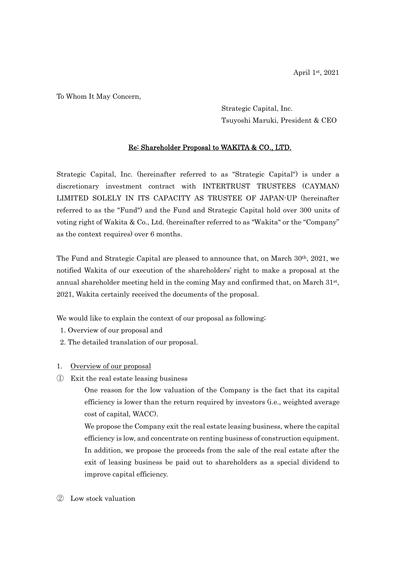To Whom It May Concern,

Strategic Capital, Inc. Tsuyoshi Maruki, President & CEO

## Re: Shareholder Proposal to WAKITA & CO., LTD.

Strategic Capital, Inc. (hereinafter referred to as "Strategic Capital") is under a discretionary investment contract with INTERTRUST TRUSTEES (CAYMAN) LIMITED SOLELY IN ITS CAPACITY AS TRUSTEE OF JAPAN-UP (hereinafter referred to as the "Fund") and the Fund and Strategic Capital hold over 300 units of voting right of Wakita & Co., Ltd. (hereinafter referred to as "Wakita" or the "Company" as the context requires) over 6 months.

The Fund and Strategic Capital are pleased to announce that, on March 30th, 2021, we notified Wakita of our execution of the shareholders' right to make a proposal at the annual shareholder meeting held in the coming May and confirmed that, on March 31st, 2021, Wakita certainly received the documents of the proposal.

We would like to explain the context of our proposal as following;

- 1. Overview of our proposal and
- 2. The detailed translation of our proposal.
- 1. Overview of our proposal
- ① Exit the real estate leasing business

One reason for the low valuation of the Company is the fact that its capital efficiency is lower than the return required by investors (i.e., weighted average cost of capital, WACC).

We propose the Company exit the real estate leasing business, where the capital efficiency is low, and concentrate on renting business of construction equipment. In addition, we propose the proceeds from the sale of the real estate after the exit of leasing business be paid out to shareholders as a special dividend to improve capital efficiency.

② Low stock valuation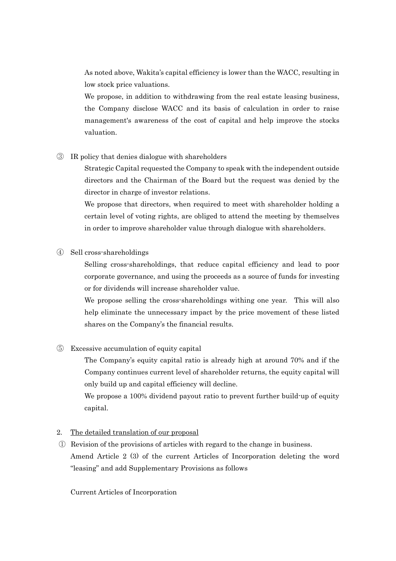As noted above, Wakita's capital efficiency is lower than the WACC, resulting in low stock price valuations.

We propose, in addition to withdrawing from the real estate leasing business, the Company disclose WACC and its basis of calculation in order to raise management's awareness of the cost of capital and help improve the stocks valuation.

③ IR policy that denies dialogue with shareholders

Strategic Capital requested the Company to speak with the independent outside directors and the Chairman of the Board but the request was denied by the director in charge of investor relations.

We propose that directors, when required to meet with shareholder holding a certain level of voting rights, are obliged to attend the meeting by themselves in order to improve shareholder value through dialogue with shareholders.

④ Sell cross-shareholdings

Selling cross-shareholdings, that reduce capital efficiency and lead to poor corporate governance, and using the proceeds as a source of funds for investing or for dividends will increase shareholder value.

We propose selling the cross-shareholdings withing one year. This will also help eliminate the unnecessary impact by the price movement of these listed shares on the Company's the financial results.

⑤ Excessive accumulation of equity capital

The Company's equity capital ratio is already high at around 70% and if the Company continues current level of shareholder returns, the equity capital will only build up and capital efficiency will decline.

We propose a 100% dividend payout ratio to prevent further build-up of equity capital.

### 2. The detailed translation of our proposal

① Revision of the provisions of articles with regard to the change in business. Amend Article 2 (3) of the current Articles of Incorporation deleting the word "leasing" and add Supplementary Provisions as follows

Current Articles of Incorporation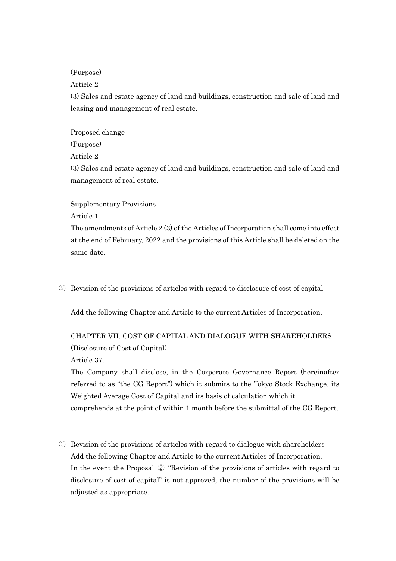#### (Purpose)

Article 2

(3) Sales and estate agency of land and buildings, construction and sale of land and leasing and management of real estate.

Proposed change

(Purpose)

Article 2

(3) Sales and estate agency of land and buildings, construction and sale of land and management of real estate.

Supplementary Provisions

Article 1

The amendments of Article 2 (3) of the Articles of Incorporation shall come into effect at the end of February, 2022 and the provisions of this Article shall be deleted on the same date.

② Revision of the provisions of articles with regard to disclosure of cost of capital

Add the following Chapter and Article to the current Articles of Incorporation.

# CHAPTER VII. COST OF CAPITAL AND DIALOGUE WITH SHAREHOLDERS (Disclosure of Cost of Capital)

Article 37.

The Company shall disclose, in the Corporate Governance Report (hereinafter referred to as "the CG Report") which it submits to the Tokyo Stock Exchange, its Weighted Average Cost of Capital and its basis of calculation which it comprehends at the point of within 1 month before the submittal of the CG Report.

③ Revision of the provisions of articles with regard to dialogue with shareholders Add the following Chapter and Article to the current Articles of Incorporation. In the event the Proposal ② "Revision of the provisions of articles with regard to disclosure of cost of capital" is not approved, the number of the provisions will be adjusted as appropriate.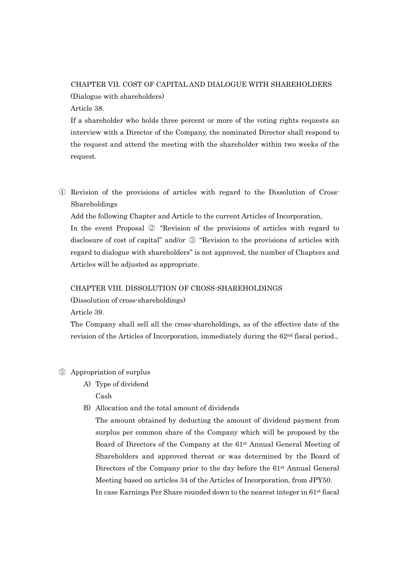## CHAPTER VII. COST OF CAPITAL AND DIALOGUE WITH SHAREHOLDERS (Dialogue with shareholders)

Article 38.

If a shareholder who holds three percent or more of the voting rights requests an interview with a Director of the Company, the nominated Director shall respond to the request and attend the meeting with the shareholder within two weeks of the request.

④ Revision of the provisions of articles with regard to the Dissolution of Cross-Shareholdings

Add the following Chapter and Article to the current Articles of Incorporation。 In the event Proposal ② "Revision of the provisions of articles with regard to disclosure of cost of capital" and/or ③ "Revision to the provisions of articles with regard to dialogue with shareholders" is not approved, the number of Chapters and Articles will be adjusted as appropriate.

### CHAPTER VIII. DISSOLUTION OF CROSS-SHAREHOLDINGS

(Dissolution of cross-shareholdings)

Article 39.

The Company shall sell all the cross-shareholdings, as of the effective date of the revision of the Articles of Incorporation, immediately during the 62nd fiscal period.。

## ⑤ Appropriation of surplus

- A) Type of dividend Cash
- B) Allocation and the total amount of dividends

The amount obtained by deducting the amount of dividend payment from surplus per common share of the Company which will be proposed by the Board of Directors of the Company at the 61st Annual General Meeting of Shareholders and approved thereat or was determined by the Board of Directors of the Company prior to the day before the 61<sup>st</sup> Annual General Meeting based on articles 34 of the Articles of Incorporation, from JPY50. In case Earnings Per Share rounded down to the nearest integer in 61st fiscal